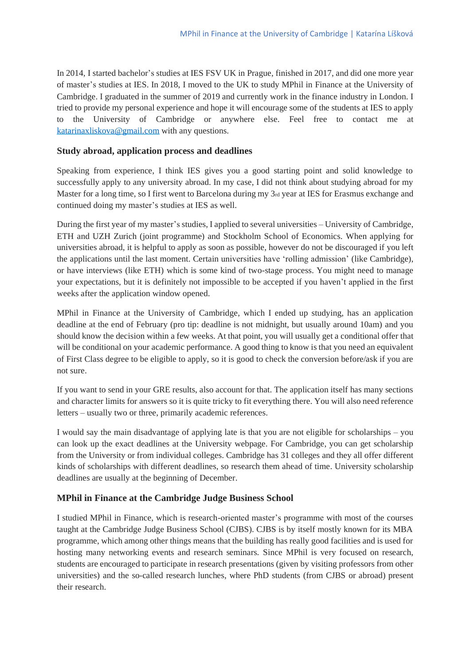In 2014, I started bachelor's studies at IES FSV UK in Prague, finished in 2017, and did one more year of master's studies at IES. In 2018, I moved to the UK to study MPhil in Finance at the University of Cambridge. I graduated in the summer of 2019 and currently work in the finance industry in London. I tried to provide my personal experience and hope it will encourage some of the students at IES to apply to the University of Cambridge or anywhere else. Feel free to contact me at [katarinaxliskova@gmail.com](mailto:katarinaxliskova@gmail.com) with any questions.

#### **Study abroad, application process and deadlines**

Speaking from experience, I think IES gives you a good starting point and solid knowledge to successfully apply to any university abroad. In my case, I did not think about studying abroad for my Master for a long time, so I first went to Barcelona during my 3rd year at IES for Erasmus exchange and continued doing my master's studies at IES as well.

During the first year of my master's studies, I applied to several universities – University of Cambridge, ETH and UZH Zurich (joint programme) and Stockholm School of Economics. When applying for universities abroad, it is helpful to apply as soon as possible, however do not be discouraged if you left the applications until the last moment. Certain universities have 'rolling admission' (like Cambridge), or have interviews (like ETH) which is some kind of two-stage process. You might need to manage your expectations, but it is definitely not impossible to be accepted if you haven't applied in the first weeks after the application window opened.

MPhil in Finance at the University of Cambridge, which I ended up studying, has an application deadline at the end of February (pro tip: deadline is not midnight, but usually around 10am) and you should know the decision within a few weeks. At that point, you will usually get a conditional offer that will be conditional on your academic performance. A good thing to know is that you need an equivalent of First Class degree to be eligible to apply, so it is good to check the conversion before/ask if you are not sure.

If you want to send in your GRE results, also account for that. The application itself has many sections and character limits for answers so it is quite tricky to fit everything there. You will also need reference letters – usually two or three, primarily academic references.

I would say the main disadvantage of applying late is that you are not eligible for scholarships – you can look up the exact deadlines at the University webpage. For Cambridge, you can get scholarship from the University or from individual colleges. Cambridge has 31 colleges and they all offer different kinds of scholarships with different deadlines, so research them ahead of time. University scholarship deadlines are usually at the beginning of December.

# **MPhil in Finance at the Cambridge Judge Business School**

I studied MPhil in Finance, which is research-oriented master's programme with most of the courses taught at the Cambridge Judge Business School (CJBS). CJBS is by itself mostly known for its MBA programme, which among other things means that the building has really good facilities and is used for hosting many networking events and research seminars. Since MPhil is very focused on research, students are encouraged to participate in research presentations (given by visiting professors from other universities) and the so-called research lunches, where PhD students (from CJBS or abroad) present their research.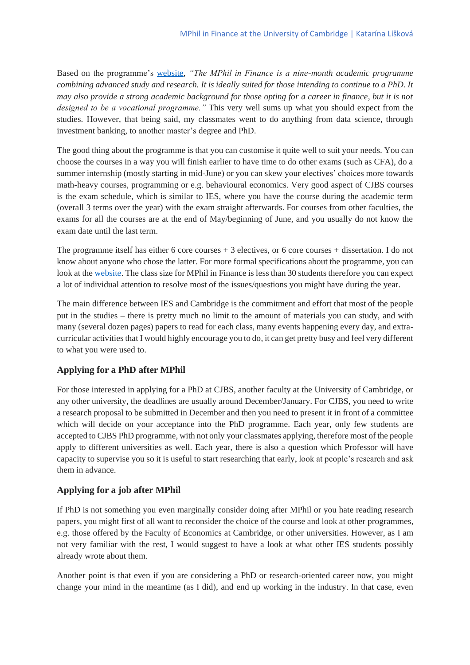Based on the programme's [website,](https://www.jbs.cam.ac.uk/programmes/research-programmes/research-masters/mphil-finance/) *"The MPhil in Finance is a nine-month academic programme combining advanced study and research. It is ideally suited for those intending to continue to a PhD. It may also provide a strong academic background for those opting for a career in finance, but it is not designed to be a vocational programme."* This very well sums up what you should expect from the studies. However, that being said, my classmates went to do anything from data science, through investment banking, to another master's degree and PhD.

The good thing about the programme is that you can customise it quite well to suit your needs. You can choose the courses in a way you will finish earlier to have time to do other exams (such as CFA), do a summer internship (mostly starting in mid-June) or you can skew your electives' choices more towards math-heavy courses, programming or e.g. behavioural economics. Very good aspect of CJBS courses is the exam schedule, which is similar to IES, where you have the course during the academic term (overall 3 terms over the year) with the exam straight afterwards. For courses from other faculties, the exams for all the courses are at the end of May/beginning of June, and you usually do not know the exam date until the last term.

The programme itself has either 6 core courses + 3 electives, or 6 core courses + dissertation. I do not know about anyone who chose the latter. For more formal specifications about the programme, you can look at the [website.](https://www.jbs.cam.ac.uk/programmes/research-programmes/research-masters/mphil-finance/) The class size for MPhil in Finance is less than 30 students therefore you can expect a lot of individual attention to resolve most of the issues/questions you might have during the year.

The main difference between IES and Cambridge is the commitment and effort that most of the people put in the studies – there is pretty much no limit to the amount of materials you can study, and with many (several dozen pages) papers to read for each class, many events happening every day, and extracurricular activities that I would highly encourage you to do, it can get pretty busy and feel very different to what you were used to.

# **Applying for a PhD after MPhil**

For those interested in applying for a PhD at CJBS, another faculty at the University of Cambridge, or any other university, the deadlines are usually around December/January. For CJBS, you need to write a research proposal to be submitted in December and then you need to present it in front of a committee which will decide on your acceptance into the PhD programme. Each year, only few students are accepted to CJBS PhD programme, with not only your classmates applying, therefore most of the people apply to different universities as well. Each year, there is also a question which Professor will have capacity to supervise you so it is useful to start researching that early, look at people's research and ask them in advance.

# **Applying for a job after MPhil**

If PhD is not something you even marginally consider doing after MPhil or you hate reading research papers, you might first of all want to reconsider the choice of the course and look at other programmes, e.g. those offered by the Faculty of Economics at Cambridge, or other universities. However, as I am not very familiar with the rest, I would suggest to have a look at what other IES students possibly already wrote about them.

Another point is that even if you are considering a PhD or research-oriented career now, you might change your mind in the meantime (as I did), and end up working in the industry. In that case, even